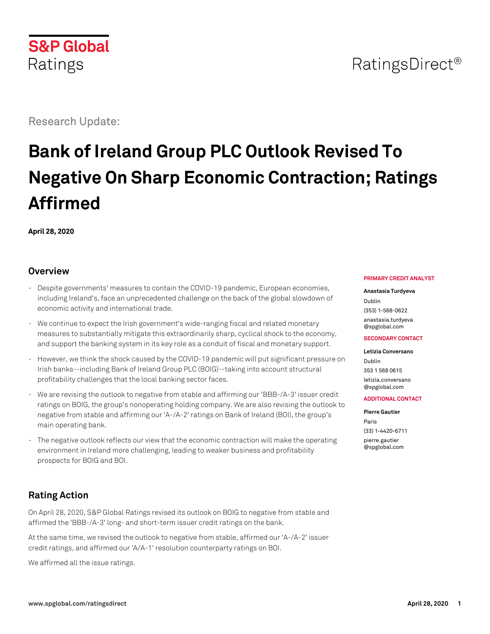# Research Update:

# **Bank of Ireland Group PLC Outlook Revised To Negative On Sharp Economic Contraction; Ratings Affirmed**

**April 28, 2020**

# **Overview**

- Despite governments' measures to contain the COVID-19 pandemic, European economies, including Ireland's, face an unprecedented challenge on the back of the global slowdown of economic activity and international trade.
- We continue to expect the Irish government's wide-ranging fiscal and related monetary measures to substantially mitigate this extraordinarily sharp, cyclical shock to the economy, and support the banking system in its key role as a conduit of fiscal and monetary support.
- However, we think the shock caused by the COVID-19 pandemic will put significant pressure on Irish banks--including Bank of Ireland Group PLC (BOIG)--taking into account structural profitability challenges that the local banking sector faces.
- We are revising the outlook to negative from stable and affirming our 'BBB-/A-3' issuer credit ratings on BOIG, the group's nonoperating holding company. We are also revising the outlook to negative from stable and affirming our 'A-/A-2' ratings on Bank of Ireland (BOI), the group's main operating bank.
- The negative outlook reflects our view that the economic contraction will make the operating environment in Ireland more challenging, leading to weaker business and profitability prospects for BOIG and BOI.

# **Rating Action**

On April 28, 2020, S&P Global Ratings revised its outlook on BOIG to negative from stable and affirmed the 'BBB-/A-3' long- and short-term issuer credit ratings on the bank.

At the same time, we revised the outlook to negative from stable, affirmed our 'A-/A-2' issuer credit ratings, and affirmed our 'A/A-1' resolution counterparty ratings on BOI.

We affirmed all the issue ratings.

#### **PRIMARY CREDIT ANALYST**

#### **Anastasia Turdyeva**

Dublin (353) 1-568-0622 [anastasia.turdyeva](mailto:anastasia.turdyeva@spglobal.com) [@spglobal.com](mailto:anastasia.turdyeva@spglobal.com)

#### **SECONDARY CONTACT**

**Letizia Conversano** Dublin 353 1 568 0615 [letizia.conversano](mailto:letizia.conversano@spglobal.com)

#### **ADDITIONAL CONTACT**

**Pierre Gautier** Paris

[@spglobal.com](mailto:letizia.conversano@spglobal.com)

(33) 1-4420-6711 [pierre.gautier](mailto:pierre.gautier@spglobal.com) [@spglobal.com](mailto:pierre.gautier@spglobal.com)

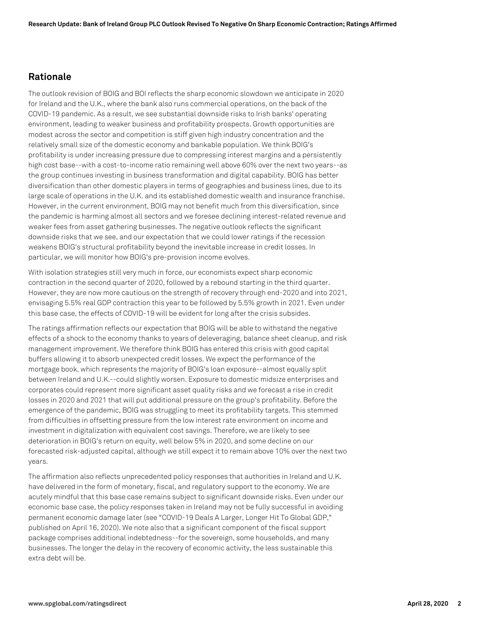## **Rationale**

The outlook revision of BOIG and BOI reflects the sharp economic slowdown we anticipate in 2020 for Ireland and the U.K., where the bank also runs commercial operations, on the back of the COVID-19 pandemic. As a result, we see substantial downside risks to Irish banks' operating environment, leading to weaker business and profitability prospects. Growth opportunities are modest across the sector and competition is stiff given high industry concentration and the relatively small size of the domestic economy and bankable population. We think BOIG's profitability is under increasing pressure due to compressing interest margins and a persistently high cost base--with a cost-to-income ratio remaining well above 60% over the next two years--as the group continues investing in business transformation and digital capability. BOIG has better diversification than other domestic players in terms of geographies and business lines, due to its large scale of operations in the U.K. and its established domestic wealth and insurance franchise. However, in the current environment, BOIG may not benefit much from this diversification, since the pandemic is harming almost all sectors and we foresee declining interest-related revenue and weaker fees from asset gathering businesses. The negative outlook reflects the significant downside risks that we see, and our expectation that we could lower ratings if the recession weakens BOIG's structural profitability beyond the inevitable increase in credit losses. In particular, we will monitor how BOIG's pre-provision income evolves.

With isolation strategies still very much in force, our economists expect sharp economic contraction in the second quarter of 2020, followed by a rebound starting in the third quarter. However, they are now more cautious on the strength of recovery through end-2020 and into 2021, envisaging 5.5% real GDP contraction this year to be followed by 5.5% growth in 2021. Even under this base case, the effects of COVID-19 will be evident for long after the crisis subsides.

The ratings affirmation reflects our expectation that BOIG will be able to withstand the negative effects of a shock to the economy thanks to years of deleveraging, balance sheet cleanup, and risk management improvement. We therefore think BOIG has entered this crisis with good capital buffers allowing it to absorb unexpected credit losses. We expect the performance of the mortgage book, which represents the majority of BOIG's loan exposure--almost equally split between Ireland and U.K.--could slightly worsen. Exposure to domestic midsize enterprises and corporates could represent more significant asset quality risks and we forecast a rise in credit losses in 2020 and 2021 that will put additional pressure on the group's profitability. Before the emergence of the pandemic, BOIG was struggling to meet its profitability targets. This stemmed from difficulties in offsetting pressure from the low interest rate environment on income and investment in digitalization with equivalent cost savings. Therefore, we are likely to see deterioration in BOIG's return on equity, well below 5% in 2020, and some decline on our forecasted risk-adjusted capital, although we still expect it to remain above 10% over the next two years.

The affirmation also reflects unprecedented policy responses that authorities in Ireland and U.K. have delivered in the form of monetary, fiscal, and regulatory support to the economy. We are acutely mindful that this base case remains subject to significant downside risks. Even under our economic base case, the policy responses taken in Ireland may not be fully successful in avoiding permanent economic damage later (see "COVID-19 Deals A Larger, Longer Hit To Global GDP," published on April 16, 2020). We note also that a significant component of the fiscal support package comprises additional indebtedness--for the sovereign, some households, and many businesses. The longer the delay in the recovery of economic activity, the less sustainable this extra debt will be.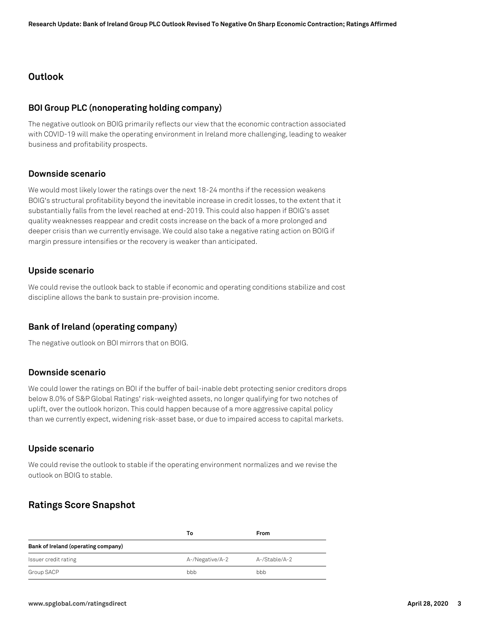## **Outlook**

#### **BOI Group PLC (nonoperating holding company)**

The negative outlook on BOIG primarily reflects our view that the economic contraction associated with COVID-19 will make the operating environment in Ireland more challenging, leading to weaker business and profitability prospects.

#### **Downside scenario**

We would most likely lower the ratings over the next 18-24 months if the recession weakens BOIG's structural profitability beyond the inevitable increase in credit losses, to the extent that it substantially falls from the level reached at end-2019. This could also happen if BOIG's asset quality weaknesses reappear and credit costs increase on the back of a more prolonged and deeper crisis than we currently envisage. We could also take a negative rating action on BOIG if margin pressure intensifies or the recovery is weaker than anticipated.

#### **Upside scenario**

We could revise the outlook back to stable if economic and operating conditions stabilize and cost discipline allows the bank to sustain pre-provision income.

#### **Bank of Ireland (operating company)**

The negative outlook on BOI mirrors that on BOIG.

#### **Downside scenario**

We could lower the ratings on BOI if the buffer of bail-inable debt protecting senior creditors drops below 8.0% of S&P Global Ratings' risk-weighted assets, no longer qualifying for two notches of uplift, over the outlook horizon. This could happen because of a more aggressive capital policy than we currently expect, widening risk-asset base, or due to impaired access to capital markets.

#### **Upside scenario**

We could revise the outlook to stable if the operating environment normalizes and we revise the outlook on BOIG to stable.

## **Ratings Score Snapshot**

|                                     | То              | From          |
|-------------------------------------|-----------------|---------------|
| Bank of Ireland (operating company) |                 |               |
| Issuer credit rating                | A-/Negative/A-2 | A-/Stable/A-2 |
| Group SACP                          | bbb             | bbb           |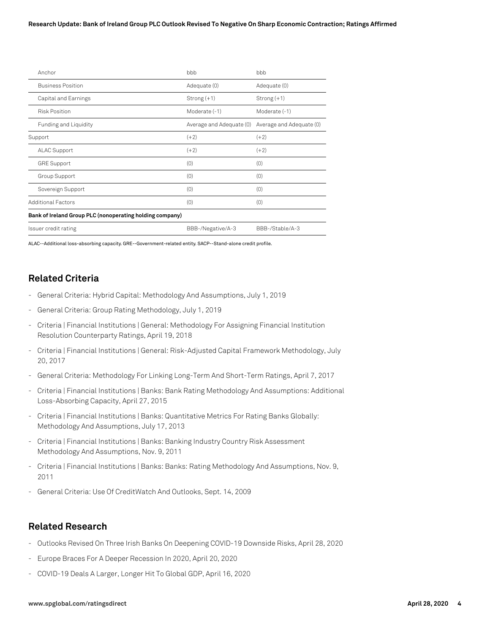#### **Research Update: Bank of Ireland Group PLC Outlook Revised To Negative On Sharp Economic Contraction; Ratings Affirmed**

| Anchor                                                   | bbb                      | bbb                      |
|----------------------------------------------------------|--------------------------|--------------------------|
| <b>Business Position</b>                                 | Adequate (0)             | Adequate (0)             |
| Capital and Earnings                                     | Strong $(+1)$            | Strong $(+1)$            |
| <b>Risk Position</b>                                     | Moderate (-1)            | Moderate (-1)            |
| Funding and Liquidity                                    | Average and Adequate (0) | Average and Adequate (0) |
| Support                                                  | $(+2)$                   | $(+2)$                   |
| <b>ALAC Support</b>                                      | $(+2)$                   | $(+2)$                   |
| <b>GRE Support</b>                                       | (0)                      | (0)                      |
| Group Support                                            | (0)                      | (0)                      |
| Sovereign Support                                        | (0)                      | (0)                      |
| <b>Additional Factors</b>                                | (0)                      | (0)                      |
| Bank of Ireland Group PLC (nonoperating holding company) |                          |                          |
| Issuer credit rating                                     | BBB-/Negative/A-3        | BBB-/Stable/A-3          |

ALAC--Additional loss-absorbing capacity. GRE--Government-related entity. SACP--Stand-alone credit profile.

# **Related Criteria**

- General Criteria: Hybrid Capital: Methodology And Assumptions, July 1, 2019
- General Criteria: Group Rating Methodology, July 1, 2019
- Criteria | Financial Institutions | General: Methodology For Assigning Financial Institution Resolution Counterparty Ratings, April 19, 2018
- Criteria | Financial Institutions | General: Risk-Adjusted Capital Framework Methodology, July 20, 2017
- General Criteria: Methodology For Linking Long-Term And Short-Term Ratings, April 7, 2017
- Criteria | Financial Institutions | Banks: Bank Rating Methodology And Assumptions: Additional Loss-Absorbing Capacity, April 27, 2015
- Criteria | Financial Institutions | Banks: Quantitative Metrics For Rating Banks Globally: Methodology And Assumptions, July 17, 2013
- Criteria | Financial Institutions | Banks: Banking Industry Country Risk Assessment Methodology And Assumptions, Nov. 9, 2011
- Criteria | Financial Institutions | Banks: Banks: Rating Methodology And Assumptions, Nov. 9, 2011
- General Criteria: Use Of CreditWatch And Outlooks, Sept. 14, 2009

## **Related Research**

- Outlooks Revised On Three Irish Banks On Deepening COVID-19 Downside Risks, April 28, 2020
- Europe Braces For A Deeper Recession In 2020, April 20, 2020
- COVID-19 Deals A Larger, Longer Hit To Global GDP, April 16, 2020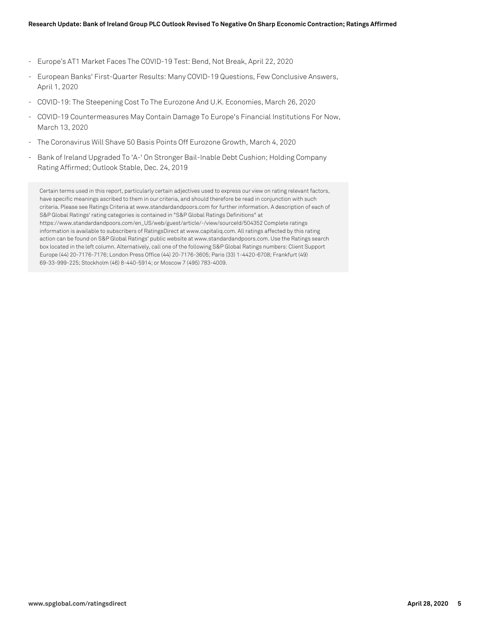- Europe's AT1 Market Faces The COVID-19 Test: Bend, Not Break, April 22, 2020
- European Banks' First-Quarter Results: Many COVID-19 Questions, Few Conclusive Answers, April 1, 2020
- COVID-19: The Steepening Cost To The Eurozone And U.K. Economies, March 26, 2020
- COVID-19 Countermeasures May Contain Damage To Europe's Financial Institutions For Now, March 13, 2020
- The Coronavirus Will Shave 50 Basis Points Off Eurozone Growth, March 4, 2020
- Bank of Ireland Upgraded To 'A-' On Stronger Bail-Inable Debt Cushion; Holding Company Rating Affirmed; Outlook Stable, Dec. 24, 2019

Certain terms used in this report, particularly certain adjectives used to express our view on rating relevant factors, have specific meanings ascribed to them in our criteria, and should therefore be read in conjunction with such criteria. Please see Ratings Criteria at www.standardandpoors.com for further information. A description of each of S&P Global Ratings' rating categories is contained in "S&P Global Ratings Definitions" at https://www.standardandpoors.com/en\_US/web/guest/article/-/view/sourceId/504352 Complete ratings information is available to subscribers of RatingsDirect at www.capitaliq.com. All ratings affected by this rating action can be found on S&P Global Ratings' public website at www.standardandpoors.com. Use the Ratings search box located in the left column. Alternatively, call one of the following S&P Global Ratings numbers: Client Support Europe (44) 20-7176-7176; London Press Office (44) 20-7176-3605; Paris (33) 1-4420-6708; Frankfurt (49) 69-33-999-225; Stockholm (46) 8-440-5914; or Moscow 7 (495) 783-4009.